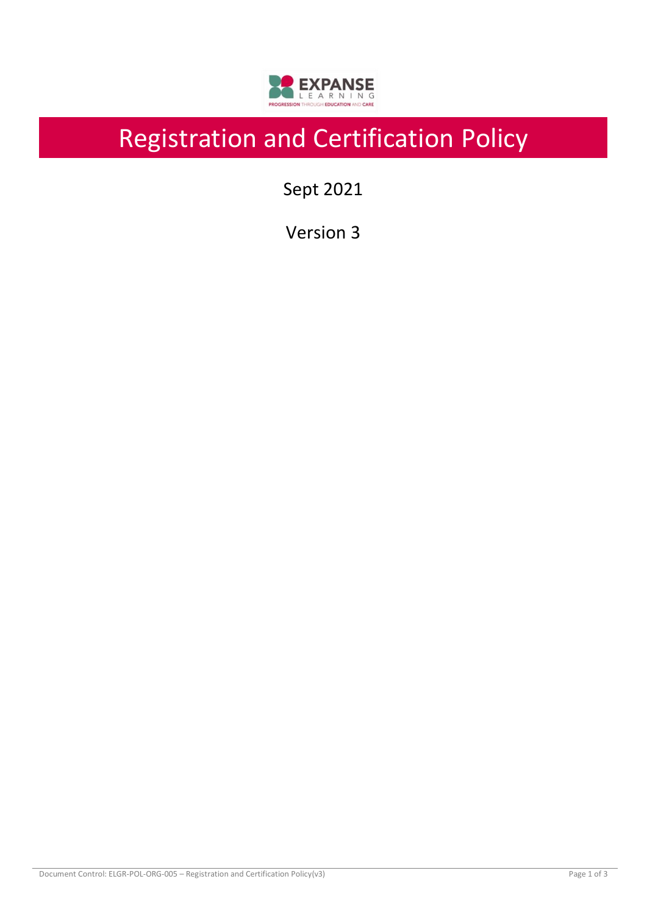

# Registration and Certification Policy

Sept 2021

Version 3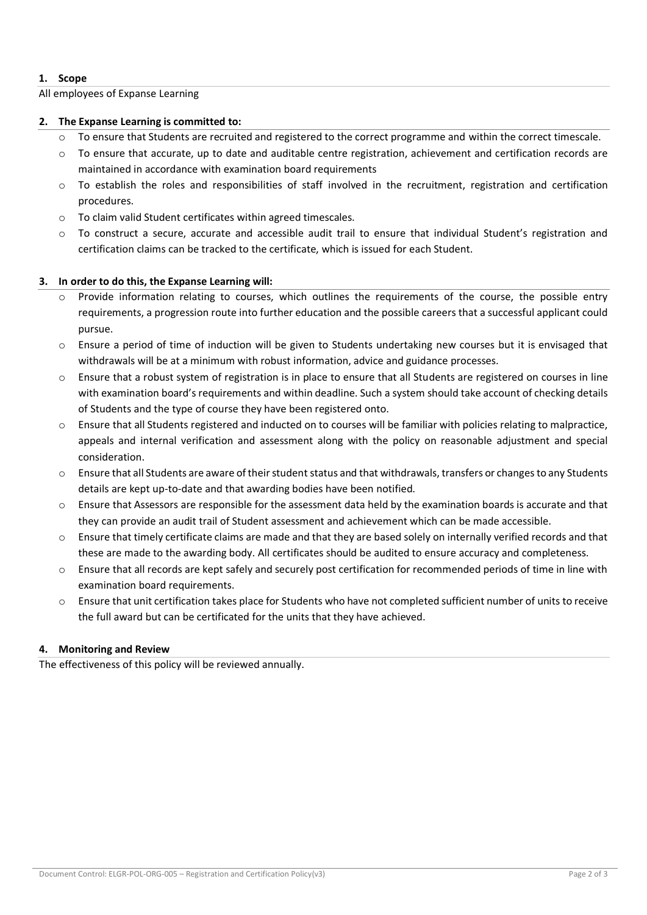### **1. Scope**

#### All employees of Expanse Learning

#### **2. The Expanse Learning is committed to:**

- o To ensure that Students are recruited and registered to the correct programme and within the correct timescale.
- $\circ$  To ensure that accurate, up to date and auditable centre registration, achievement and certification records are maintained in accordance with examination board requirements
- $\circ$  To establish the roles and responsibilities of staff involved in the recruitment, registration and certification procedures.
- o To claim valid Student certificates within agreed timescales.
- o To construct a secure, accurate and accessible audit trail to ensure that individual Student's registration and certification claims can be tracked to the certificate, which is issued for each Student.

### **3. In order to do this, the Expanse Learning will:**

- Provide information relating to courses, which outlines the requirements of the course, the possible entry requirements, a progression route into further education and the possible careers that a successful applicant could pursue.
- $\circ$  Ensure a period of time of induction will be given to Students undertaking new courses but it is envisaged that withdrawals will be at a minimum with robust information, advice and guidance processes.
- $\circ$  Ensure that a robust system of registration is in place to ensure that all Students are registered on courses in line with examination board's requirements and within deadline. Such a system should take account of checking details of Students and the type of course they have been registered onto.
- $\circ$  Ensure that all Students registered and inducted on to courses will be familiar with policies relating to malpractice, appeals and internal verification and assessment along with the policy on reasonable adjustment and special consideration.
- $\circ$  Ensure that all Students are aware of their student status and that withdrawals, transfers or changes to any Students details are kept up-to-date and that awarding bodies have been notified.
- o Ensure that Assessors are responsible for the assessment data held by the examination boards is accurate and that they can provide an audit trail of Student assessment and achievement which can be made accessible.
- $\circ$  Ensure that timely certificate claims are made and that they are based solely on internally verified records and that these are made to the awarding body. All certificates should be audited to ensure accuracy and completeness.
- Ensure that all records are kept safely and securely post certification for recommended periods of time in line with examination board requirements.
- $\circ$  Ensure that unit certification takes place for Students who have not completed sufficient number of units to receive the full award but can be certificated for the units that they have achieved.

## **4. Monitoring and Review**

The effectiveness of this policy will be reviewed annually.